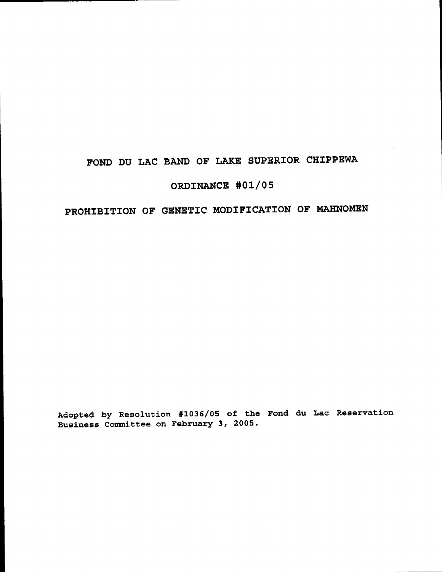# FOND DU LAC BAND OF LAKE SUPERIOR CHIPPEWA

# ORDINANCE #01/05

# PROHIBITION OF GENETIC MODIFICATION OF MAHNOMEN

Adopted by Resolution #1036/05 of the Fond du Lac Reservation Business Committee on February 3, 2005.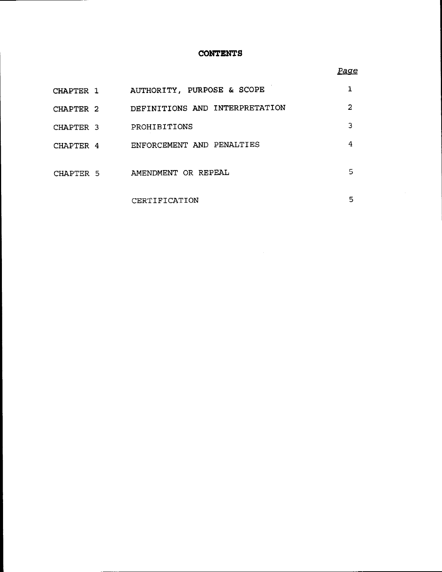# **CONTENTS**

## *Page*

| CHAPTER 1 | AUTHORITY, PURPOSE & SCOPE     |   |
|-----------|--------------------------------|---|
| CHAPTER 2 | DEFINITIONS AND INTERPRETATION | 2 |
| CHAPTER 3 | PROHIBITIONS                   | 3 |
| CHAPTER 4 | ENFORCEMENT AND PENALTIES      | 4 |
| CHAPTER 5 | AMENDMENT OR REPEAL            | 5 |
|           | CERTIFICATION                  | 5 |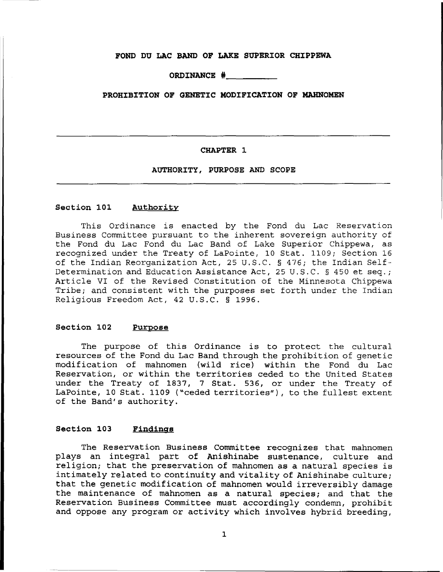#### **FOND DU LAC BAND OF LAKE SUPERIOR CHIPPEWA**

**ORDINANCE** # \_

### **PROHIBITION OF GENETIC MODIFICATION OF MAHNOMEN**

#### **CHAPTER 1**

**AUTHORITY, PURPOSE AND SCOPE**

#### **Section 101 Authority**

This Ordinance is enacted by the Fond du Lac Reservation Business Committee pursuant to the inherent sovereign authority of the Fond du Lac Fond du Lac Band of Lake Superior Chippewa, as recognized under the Treaty of LaPointe, 10 Stat. 1109; Section 16 of the Indian Reorganization Act, 25 U.S.C. § 476; the Indian Self-Determination and Education Assistance Act, 25 U.S.C. § 450 et seq.; Article VI of the Revised Constitution of the Minnesota Chippewa Tribe; and consistent with the purposes set forth under the Indian Religious Freedom Act, 42 U.S.C. § 1996.

#### **Section 102 Purpose**

The purpose of this Ordinance is to protect the cultural resources of the Fond du Lac Band through the prohibition of genetic modification of mahnomen (wild rice) within the Fond du Lac Reservation, or within the territories ceded to the United States under the Treaty of 1837, 7 Stat. 536, or under the Treaty of LaPointe, 10 Stat. 1109 ("ceded territories"), to the fullest extent of the Band's authority.

#### **Section 103 Findings**

The Reservation Business *Committee* recognizes that mahnomen plays an integral part of Anishinabe sustenance, culture and religion; that the preservation of mahnomen as <sup>a</sup> natural species is intimately related to continuity and vitality of Anishinabe culture; that the genetic modification of mahnomen would irreversibly damage the maintenance of mahnomen as a natural species; and that the Reservation Business Committee must accordingly condemn, prohibit and oppose any program or activity which involves hybrid breeding,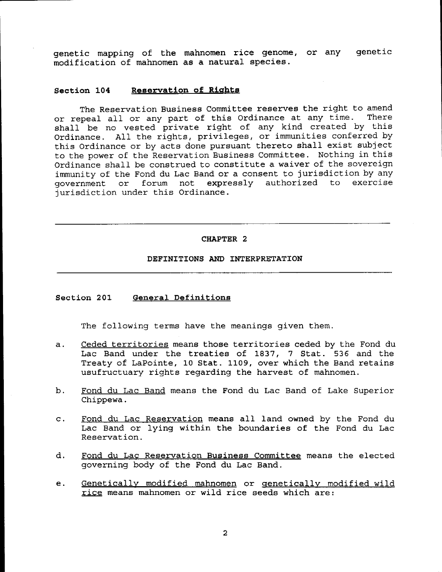genetic mapping of the mahnomen rice genome, or any genetic modification of mahnomen as a natural species.

#### Section 104 Reservation of Rights

The Reservation Business Committee reserves the right to amend or repeal all or any part of this Ordinance at any time. There shall be no vested private right of any kind created by this Ordinance. All the rights, privileges, or immunities conferred by this Ordinance or by acts done pursuant thereto shall exist subject to the power of the Reservation Business Committee. Nothing in this Ordinance shall be construed to constitute <sup>a</sup> waiver of the sovereign immunity of the Fond du Lac Band or a consent to jurisdiction by any government or forum not expressly authorized to exercise or forum not expressly authorized to exercise jurisdiction under this Ordinance.

#### CHAPTER 2

#### DEFINITIONS AND INTERPRETATION

#### Section 201 General Definitions

The following terms have the meanings given them.

- a. Ceded territories means those territories ceded by the Fond du Lac Band under the treaties of 1837, <sup>7</sup> Stat. 536 and the Treaty of LaPointe, 10 Stat. 1109, over which the Band retains usufructuary rights regarding the harvest of mahnomen.
- b. Fond du Lac Band means the Fond du Lac Band of Lake Superior Chippewa.
- c. Fond du Lac Reservation means all land owned by the Fond du Lac Band or lying within the boundaries of the Fond du Lac Reservation.
- d. Fond du Lac Reservation Business Committee means the elected governing body of the Fond du Lac Band.
- e. Genetically modified mahnomen or genetically modified wild rice means mahnomen or wild rice seeds which are: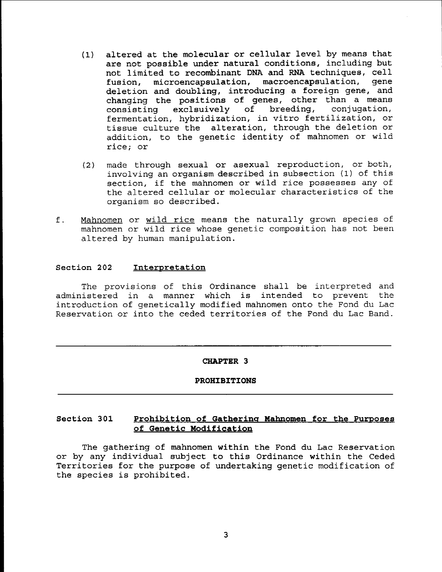- (1) altered at the molecular or cellular level by means that are not possible under natural conditions, including but not limited to recombinant DNA and RNA techniques, cell fusion, microencapsulation, macroencapsulation, gene deletion and doubling, introducing a foreign gene, and changing the positions of genes, other than a means<br>consisting exclsuively of breeding, conjugation, consisting exclsuively of fermentation, hybridization, in vitro fertilization, or tissue culture the alteration, through the deletion or addition, to the genetic identity of mahnomen or wild rice; or
- (2) made through sexual or asexual reproduct ion, or both, involving an organism described in subsection (1) of this section, if the mahnomen or wild rice possesses any of the altered cellular or molecular characteristics of the organism so described.
- f. Mahnomen or wild rice means the naturally grown species of mahnomen or wild rice whose genetic composition has not been altered by human manipulation.

#### Section 202 Interpretation

The provisions of this Ordinance shall be interpreted and administered in <sup>a</sup> manner which is intended to prevent the introduction of genetically modified mahnomen onto the Fond du Lac Reservation or into the ceded territories of the Fond du Lac Band.

#### CHAPTER 3

#### PROHIBITIONS

# Section 301 Prohibition of Gathering Mahnomen for the Purposes of Genetic Modification

The gathering of mahnomen within the Fond du Lac Reservation or by any individual subject to this Ordinance within the Ceded Territories for the purpose of undertaking genetic modification of the species is prohibited.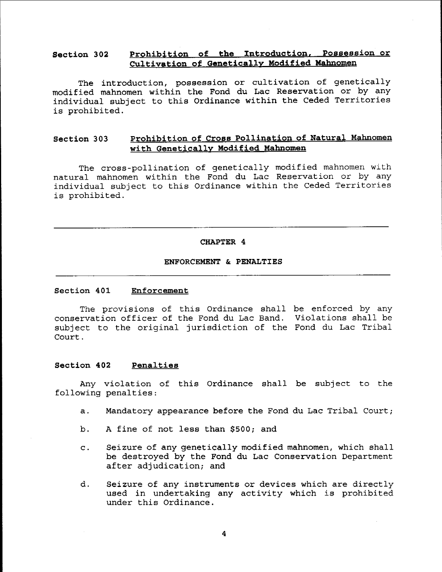# Section 302 Prohibition of the Introduction, Possession or Cultivation of Genetically Modified Mahnomen

The introduction, possession or cultivation of genetically modified mahnomen within the Fond du Lac Reservation or by any individual subject to this Ordinance within the Ceded Territories is prohibited.

# Section 303 Prohibition of Cross Pollination of Natural Mahnomen with Genetically Modified Mahnomen

The cross-pollination of genetically modified mahnomen with natural mahnomen within the Fond du Lac Reservation or by any individual subject to this Ordinance within the Ceded Territories is prohibited.

#### CHAPTER 4

#### ENFORCEMENT & PENALTIES

#### Section 401 Enforcement

The provisions of this Ordinance shall be enforced by any conservation officer of the Fond du Lac Band. Violations shall be subj ect to the original jurisdiction of the Fond du Lac Tribal Court.

#### Section 402 Penalties

Any violation of this Ordinance shall be subject to the following penalties:

- a. Mandatory appearance before the Fond du Lac Tribal Court;
- b. A fine of not less than \$500; and
- c. Seizure of any genetically modified mahnomen, which shall be destroyed by the Fond du Lac Conservation Department after adjudication; and
- d. Seizure of any instruments or devices which are directly used in undertaking any activity which is prohibited under this Ordinance.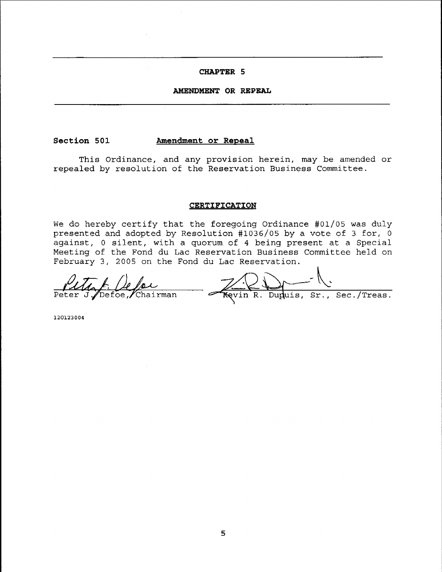# **CHAPTER 5**

#### **AMENDMENT OR REPEAL**

#### **Section 501**

#### **Amendment or Repeal**

This Ordinance, and any provision herein, may be amended or repealed by resolution of the Reservation Business Committee.

#### **CERTIFICATION**

We do hereby certify that the foregoing Ordinance #01/05 was duly presented and adopted by Resolution #1036/05 by a vote of 3 for, 0 against, <sup>0</sup> silent, with <sup>a</sup> quorum of <sup>4</sup> being present at <sup>a</sup> Special Meeting of the Fond du Lac Reservation Business Committee held on February 3, 2005 on the Fond du Lac Reservation.

 $\frac{\sqrt{10}}{\sqrt{1000}}$  Peter J. Defoe, Chairman  $\frac{\sqrt{100}}{\sqrt{1000}}$   $\frac{\sqrt{100}}{\sqrt{100}}$   $\frac{\sqrt{100}}{\sqrt{100}}$   $\frac{\sqrt{100}}{\sqrt{100}}$   $\frac{\sqrt{100}}{\sqrt{100}}$ 

120123004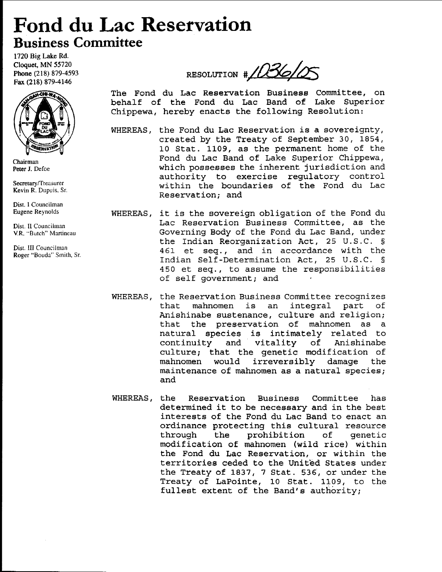# **Fond du Lac Reservation Business Committee**

1720 Big Lake Rd. Cloquet, MN 55720 Phone (218) 879-4593 Fax (218) 879-4146



Chairman Peter J. Defoe

Secretary/Treasurer Kevin R. Dupuis, Sf.

Dist. I Councilman Eugene Reynolds

Dist. II Councilman VR. ""Butch'" Martineau

Dist. III Councilman Roger "Bouda'" Smith, Sr.

RESOLUTION # 1036105 The Fond du Lac Reservation Business Committee, on

behalf of the Fond du Lac Band of Lake Superior Chippewa, hereby enacts the following Resolution:

- WHEREAS, the Fond du Lac Reservation *is* <sup>a</sup> sovereignty, created by the Treaty of September 30, 1854, 10 Stat. 1109, as the permanent home of the Fond du Lac Band of Lake Superior Chippewa, which possesses the inherent jurisdiction and authority to exercise regulatory control within the boundaries of the Fond du Lac Reservation; and
- WHEREAS, it is the sovereign obligation of the Fond du Lac Reservation Business Committee, as the Governing Body of the Fond du Lac Band, under the Indian Reorganization Act, 25 U.S.C. § 461 et seq., and in accordance with the Indian Self-Determination Act, 25 U.S.C. § 450 et seq., to assume the responsibilities of self government; and
- WHEREAS, the Reservation Business Committee recognizes ene neservation Basiness committee recognizes that mahnomen is an integral part of<br>Anishinabe sustenance, culture and religion; that the preservation of mahnomen as a natural species is intimately related to<br>continuity and vitality of Anishinabe continuity and culture; that the genetic modification of<br>mahnomen would irreversibly damage the mahnomen would maintenance of mahnomen as a natural species; and
- WHEREAS, the Reservation Business Committee has determined it to be necessary and in the best interests of the Fond du Lac Band to enact an ordinance protecting this cultural resource<br>through the prohibition of genetic prohibition of genetic modification of mahnomen (wild rice) within the Fond du Lac Reservation, or within the territories ceded to the United States under the Treaty of 1837, 7 Stat. 536, or under the Treaty of LaPointe, 10 Stat. 1109, to the fullest extent of the Band's authority;